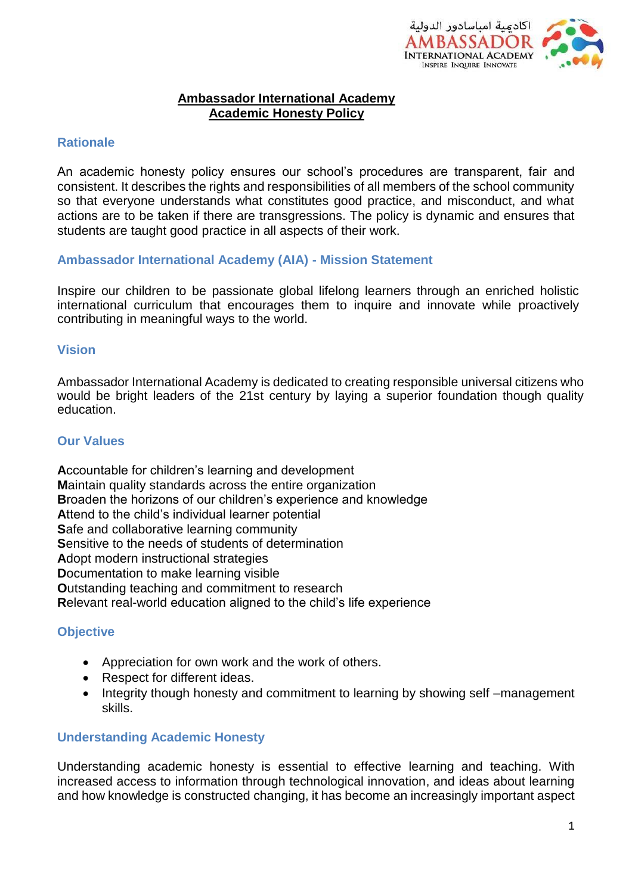

#### **Ambassador International Academy Academic Honesty Policy**

### **Rationale**

An academic honesty policy ensures our school's procedures are transparent, fair and consistent. It describes the rights and responsibilities of all members of the school community so that everyone understands what constitutes good practice, and misconduct, and what actions are to be taken if there are transgressions. The policy is dynamic and ensures that students are taught good practice in all aspects of their work.

#### **Ambassador International Academy (AIA) - Mission Statement**

Inspire our children to be passionate global lifelong learners through an enriched holistic international curriculum that encourages them to inquire and innovate while proactively contributing in meaningful ways to the world.

### **Vision**

Ambassador International Academy is dedicated to creating responsible universal citizens who would be bright leaders of the 21st century by laying a superior foundation though quality education.

### **Our Values**

**A**ccountable for children's learning and development **M**aintain quality standards across the entire organization **B**roaden the horizons of our children's experience and knowledge **A**ttend to the child's individual learner potential **S**afe and collaborative learning community **S**ensitive to the needs of students of determination **A**dopt modern instructional strategies **D**ocumentation to make learning visible **O**utstanding teaching and commitment to research **R**elevant real-world education aligned to the child's life experience

### **Objective**

- Appreciation for own work and the work of others.
- Respect for different ideas.
- Integrity though honesty and commitment to learning by showing self –management skills.

### **Understanding Academic Honesty**

Understanding academic honesty is essential to effective learning and teaching. With increased access to information through technological innovation, and ideas about learning and how knowledge is constructed changing, it has become an increasingly important aspect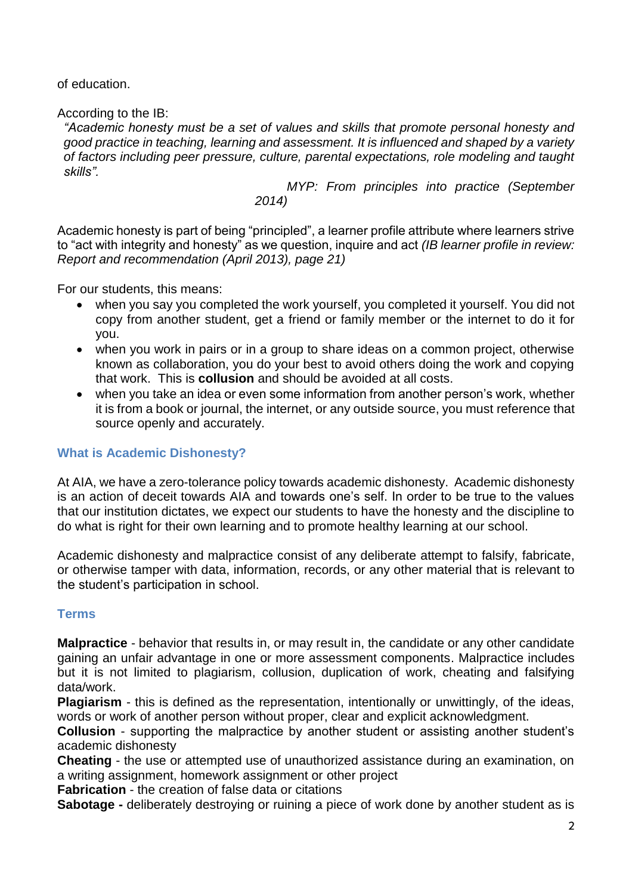of education.

According to the IB:

*"Academic honesty must be a set of values and skills that promote personal honesty and good practice in teaching, learning and assessment. It is influenced and shaped by a variety of factors including peer pressure, culture, parental expectations, role modeling and taught skills".*

> *MYP: From principles into practice (September 2014)*

Academic honesty is part of being "principled", a learner profile attribute where learners strive to "act with integrity and honesty" as we question, inquire and act *(IB learner profile in review: Report and recommendation (April 2013), page 21)*

For our students, this means:

- when you say you completed the work yourself, you completed it yourself. You did not copy from another student, get a friend or family member or the internet to do it for you.
- when you work in pairs or in a group to share ideas on a common project, otherwise known as collaboration, you do your best to avoid others doing the work and copying that work. This is **collusion** and should be avoided at all costs.
- when you take an idea or even some information from another person's work, whether it is from a book or journal, the internet, or any outside source, you must reference that source openly and accurately.

# **What is Academic Dishonesty?**

At AIA, we have a zero-tolerance policy towards academic dishonesty. Academic dishonesty is an action of deceit towards AIA and towards one's self. In order to be true to the values that our institution dictates, we expect our students to have the honesty and the discipline to do what is right for their own learning and to promote healthy learning at our school.

Academic dishonesty and malpractice consist of any deliberate attempt to falsify, fabricate, or otherwise tamper with data, information, records, or any other material that is relevant to the student's participation in school.

# **Terms**

**Malpractice** - behavior that results in, or may result in, the candidate or any other candidate gaining an unfair advantage in one or more assessment components. Malpractice includes but it is not limited to plagiarism, collusion, duplication of work, cheating and falsifying data/work.

**Plagiarism** - this is defined as the representation, intentionally or unwittingly, of the ideas, words or work of another person without proper, clear and explicit acknowledgment.

**Collusion** - supporting the malpractice by another student or assisting another student's academic dishonesty

**Cheating** - the use or attempted use of unauthorized assistance during an examination, on a writing assignment, homework assignment or other project

**Fabrication** - the creation of false data or citations

**Sabotage -** deliberately destroying or ruining a piece of work done by another student as is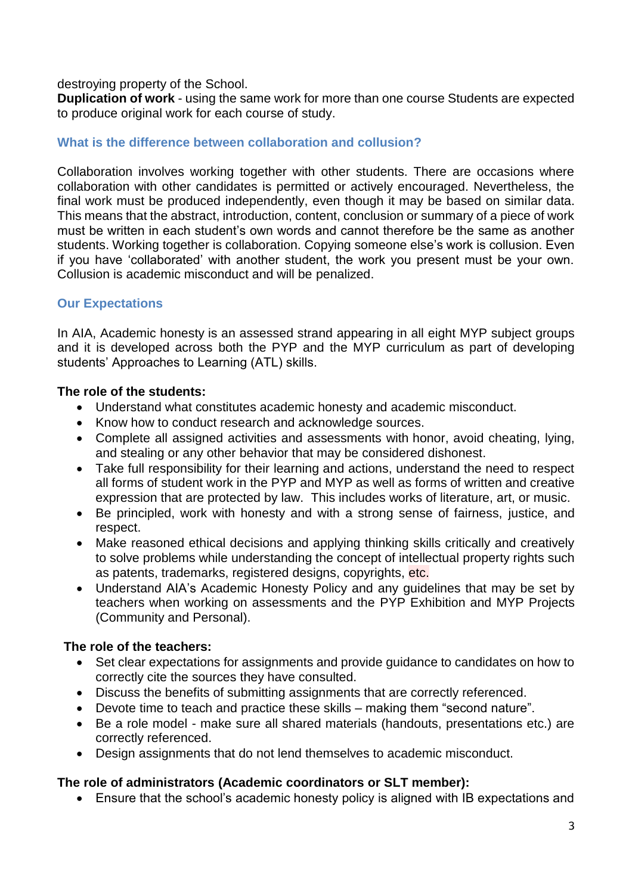destroying property of the School.

**Duplication of work** - using the same work for more than one course Students are expected to produce original work for each course of study.

# **What is the difference between collaboration and collusion?**

Collaboration involves working together with other students. There are occasions where collaboration with other candidates is permitted or actively encouraged. Nevertheless, the final work must be produced independently, even though it may be based on similar data. This means that the abstract, introduction, content, conclusion or summary of a piece of work must be written in each student's own words and cannot therefore be the same as another students. Working together is collaboration. Copying someone else's work is collusion. Even if you have 'collaborated' with another student, the work you present must be your own. Collusion is academic misconduct and will be penalized.

# **Our Expectations**

In AIA, Academic honesty is an assessed strand appearing in all eight MYP subject groups and it is developed across both the PYP and the MYP curriculum as part of developing students' Approaches to Learning (ATL) skills.

## **The role of the students:**

- Understand what constitutes academic honesty and academic misconduct.
- Know how to conduct research and acknowledge sources.
- Complete all assigned activities and assessments with honor, avoid cheating, lying, and stealing or any other behavior that may be considered dishonest.
- Take full responsibility for their learning and actions, understand the need to respect all forms of student work in the PYP and MYP as well as forms of written and creative expression that are protected by law. This includes works of literature, art, or music.
- Be principled, work with honesty and with a strong sense of fairness, justice, and respect.
- Make reasoned ethical decisions and applying thinking skills critically and creatively to solve problems while understanding the concept of intellectual property rights such as patents, trademarks, registered designs, copyrights, etc.
- Understand AIA's Academic Honesty Policy and any guidelines that may be set by teachers when working on assessments and the PYP Exhibition and MYP Projects (Community and Personal).

## **The role of the teachers:**

- Set clear expectations for assignments and provide guidance to candidates on how to correctly cite the sources they have consulted.
- Discuss the benefits of submitting assignments that are correctly referenced.
- Devote time to teach and practice these skills making them "second nature".
- Be a role model make sure all shared materials (handouts, presentations etc.) are correctly referenced.
- Design assignments that do not lend themselves to academic misconduct.

## **The role of administrators (Academic coordinators or SLT member):**

Ensure that the school's academic honesty policy is aligned with IB expectations and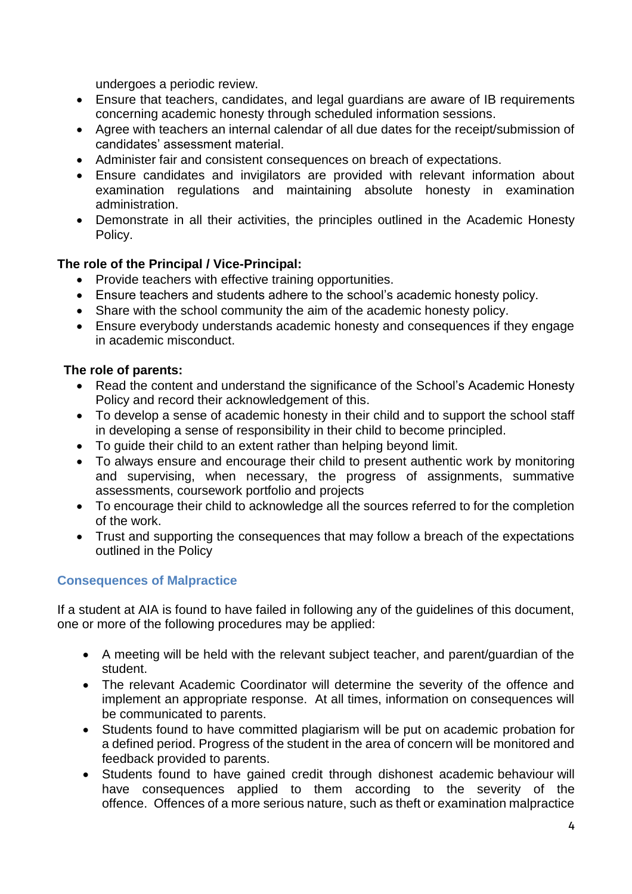undergoes a periodic review.

- Ensure that teachers, candidates, and legal guardians are aware of IB requirements concerning academic honesty through scheduled information sessions.
- Agree with teachers an internal calendar of all due dates for the receipt/submission of candidates' assessment material.
- Administer fair and consistent consequences on breach of expectations.
- Ensure candidates and invigilators are provided with relevant information about examination regulations and maintaining absolute honesty in examination administration.
- Demonstrate in all their activities, the principles outlined in the Academic Honesty Policy.

## **The role of the Principal / Vice-Principal:**

- Provide teachers with effective training opportunities.
- Ensure teachers and students adhere to the school's academic honesty policy.
- Share with the school community the aim of the academic honesty policy.
- Ensure everybody understands academic honesty and consequences if they engage in academic misconduct.

### **The role of parents:**

- Read the content and understand the significance of the School's Academic Honesty Policy and record their acknowledgement of this.
- To develop a sense of academic honesty in their child and to support the school staff in developing a sense of responsibility in their child to become principled.
- To guide their child to an extent rather than helping beyond limit.
- To always ensure and encourage their child to present authentic work by monitoring and supervising, when necessary, the progress of assignments, summative assessments, coursework portfolio and projects
- To encourage their child to acknowledge all the sources referred to for the completion of the work.
- Trust and supporting the consequences that may follow a breach of the expectations outlined in the Policy

## **Consequences of Malpractice**

If a student at AIA is found to have failed in following any of the guidelines of this document, one or more of the following procedures may be applied:

- A meeting will be held with the relevant subject teacher, and parent/guardian of the student.
- The relevant Academic Coordinator will determine the severity of the offence and implement an appropriate response. At all times, information on consequences will be communicated to parents.
- Students found to have committed plagiarism will be put on academic probation for a defined period. Progress of the student in the area of concern will be monitored and feedback provided to parents.
- Students found to have gained credit through dishonest academic behaviour will have consequences applied to them according to the severity of the offence. Offences of a more serious nature, such as theft or examination malpractice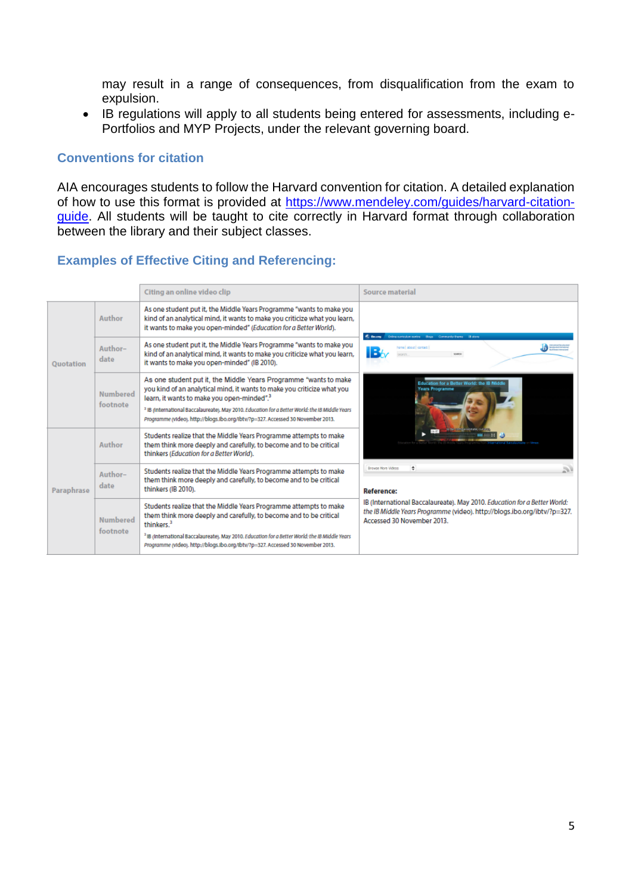may result in a range of consequences, from disqualification from the exam to expulsion.

 IB regulations will apply to all students being entered for assessments, including e-Portfolios and MYP Projects, under the relevant governing board.

### **Conventions for citation**

AIA encourages students to follow the Harvard convention for citation. A detailed explanation of how to use this format is provided at [https://www.mendeley.com/guides/harvard-citation](https://www.mendeley.com/guides/harvard-citation-guide)[guide.](https://www.mendeley.com/guides/harvard-citation-guide) All students will be taught to cite correctly in Harvard format through collaboration between the library and their subject classes.

### **Examples of Effective Citing and Referencing:**

|                  |                             | Citing an online video clip                                                                                                                                                                                                                                                                                                                                                                            | Source material                                                                                                                                                                                                                                                                                                                                                                                                              |
|------------------|-----------------------------|--------------------------------------------------------------------------------------------------------------------------------------------------------------------------------------------------------------------------------------------------------------------------------------------------------------------------------------------------------------------------------------------------------|------------------------------------------------------------------------------------------------------------------------------------------------------------------------------------------------------------------------------------------------------------------------------------------------------------------------------------------------------------------------------------------------------------------------------|
| <b>Ouotation</b> | Author                      | As one student put it, the Middle Years Programme "wants to make you<br>kind of an analytical mind, it wants to make you criticize what you learn,<br>it wants to make you open-minded" (Education for a Better World).                                                                                                                                                                                | <b>C. Boore</b><br>Online curriculum centre - Blogs - Community theme - 18 stars<br>home I about I contact<br>IB<br><b>MARCH</b><br>on for a Better World: the IB M<br>Years Programme<br>÷<br>Brawse More Videos<br>2V<br>Reference:<br>IB (International Baccalaureate). May 2010. Education for a Better World:<br>the IB Middle Years Programme (video). http://blogs.ibo.org/ibtv/?p=327.<br>Accessed 30 November 2013. |
|                  | Author-<br>date             | As one student put it, the Middle Years Programme "wants to make you<br>kind of an analytical mind, it wants to make you criticize what you learn,<br>it wants to make you open-minded" (IB 2010).                                                                                                                                                                                                     |                                                                                                                                                                                                                                                                                                                                                                                                                              |
|                  | <b>Numbered</b><br>footnote | As one student put it, the Middle Years Programme "wants to make<br>you kind of an analytical mind, it wants to make you criticize what you<br>learn, it wants to make you open-minded". <sup>3</sup><br><sup>2</sup> IB (International Baccalaureate). May 2010. Education for a Better World: the IB Middle Years<br>Programme (video), http://blogs.ibo.org/lbtv/?p=327. Accessed 30 November 2013. |                                                                                                                                                                                                                                                                                                                                                                                                                              |
| Paraphrase       | Author                      | Students realize that the Middle Years Programme attempts to make<br>them think more deeply and carefully, to become and to be critical<br>thinkers (Education for a Better World).                                                                                                                                                                                                                    |                                                                                                                                                                                                                                                                                                                                                                                                                              |
|                  | Author-<br>date             | Students realize that the Middle Years Programme attempts to make<br>them think more deeply and carefully, to become and to be critical<br>thinkers (IB 2010).                                                                                                                                                                                                                                         |                                                                                                                                                                                                                                                                                                                                                                                                                              |
|                  | <b>Numbered</b><br>footnote | Students realize that the Middle Years Programme attempts to make<br>them think more deeply and carefully, to become and to be critical<br>thinkers. <sup>3</sup>                                                                                                                                                                                                                                      |                                                                                                                                                                                                                                                                                                                                                                                                                              |
|                  |                             | <sup>2</sup> IB (International Baccalaureate). May 2010. Education for a Better World: the IB Middle Years<br>Programme (video). http://blogs.ibo.org/ibtv/?p=327. Accessed 30 November 2013.                                                                                                                                                                                                          |                                                                                                                                                                                                                                                                                                                                                                                                                              |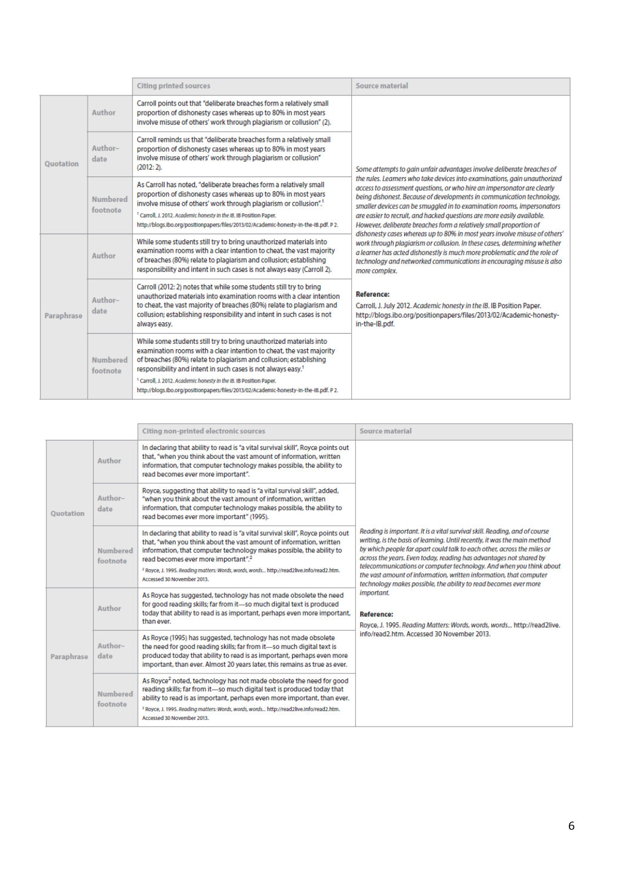|                  |                             | <b>Citing printed sources</b>                                                                                                                                                                                                                                                                                                                                                                                                                                           | Source material                                                                                                                                                                                                                                                                                                                                                                                                                                                                                                                                                                                                                                                                                                                                                                                                                                                                                                                                                                                                                                    |
|------------------|-----------------------------|-------------------------------------------------------------------------------------------------------------------------------------------------------------------------------------------------------------------------------------------------------------------------------------------------------------------------------------------------------------------------------------------------------------------------------------------------------------------------|----------------------------------------------------------------------------------------------------------------------------------------------------------------------------------------------------------------------------------------------------------------------------------------------------------------------------------------------------------------------------------------------------------------------------------------------------------------------------------------------------------------------------------------------------------------------------------------------------------------------------------------------------------------------------------------------------------------------------------------------------------------------------------------------------------------------------------------------------------------------------------------------------------------------------------------------------------------------------------------------------------------------------------------------------|
| <b>Quotation</b> | Author                      | Carroll points out that "deliberate breaches form a relatively small<br>proportion of dishonesty cases whereas up to 80% in most years<br>involve misuse of others' work through plagiarism or collusion" (2).                                                                                                                                                                                                                                                          | Some attempts to gain unfair advantages involve deliberate breaches of<br>the rules. Learners who take devices into examinations, gain unauthorized<br>access to assessment questions, or who hire an impersonator are clearly<br>being dishonest. Because of developments in communication technology,<br>smaller devices can be smuggled in to examination rooms, impersonators<br>are easier to recruit, and hacked questions are more easily available.<br>However, deliberate breaches form a relatively small proportion of<br>dishonesty cases whereas up to 80% in most years involve misuse of others'<br>work through plagiarism or collusion. In these cases, determining whether<br>a learner has acted dishonestly is much more problematic and the role of<br>technology and networked communications in encouraging misuse is also<br>more complex.<br>Reference:<br>Carroll, J. July 2012. Academic honesty in the IB. IB Position Paper.<br>http://blogs.ibo.org/positionpapers/files/2013/02/Academic-honesty-<br>in-the-IB.pdf. |
|                  | Author-<br>date             | Carroll reminds us that "deliberate breaches form a relatively small<br>proportion of dishonesty cases whereas up to 80% in most years<br>involve misuse of others' work through plagiarism or collusion"<br>$(2012:2)$ .                                                                                                                                                                                                                                               |                                                                                                                                                                                                                                                                                                                                                                                                                                                                                                                                                                                                                                                                                                                                                                                                                                                                                                                                                                                                                                                    |
|                  | <b>Numbered</b><br>footnote | As Carroll has noted, "deliberate breaches form a relatively small<br>proportion of dishonesty cases whereas up to 80% in most years<br>involve misuse of others' work through plagiarism or collusion". <sup>1</sup><br><sup>1</sup> Carroll, J. 2012. Academic honesty in the IB. IB Position Paper.<br>http://blogs.lbo.org/positionpapers/files/2013/02/Academic-honesty-in-the-IB.pdf. P 2.                                                                        |                                                                                                                                                                                                                                                                                                                                                                                                                                                                                                                                                                                                                                                                                                                                                                                                                                                                                                                                                                                                                                                    |
| Paraphrase       | Author                      | While some students still try to bring unauthorized materials into<br>examination rooms with a clear intention to cheat, the vast majority<br>of breaches (80%) relate to plagiarism and collusion; establishing<br>responsibility and intent in such cases is not always easy (Carroll 2).                                                                                                                                                                             |                                                                                                                                                                                                                                                                                                                                                                                                                                                                                                                                                                                                                                                                                                                                                                                                                                                                                                                                                                                                                                                    |
|                  | Author-<br>date             | Carroll (2012: 2) notes that while some students still try to bring<br>unauthorized materials into examination rooms with a clear intention<br>to cheat, the vast majority of breaches (80%) relate to plagiarism and<br>collusion; establishing responsibility and intent in such cases is not<br>always easy.                                                                                                                                                         |                                                                                                                                                                                                                                                                                                                                                                                                                                                                                                                                                                                                                                                                                                                                                                                                                                                                                                                                                                                                                                                    |
|                  | <b>Numbered</b><br>footnote | While some students still try to bring unauthorized materials into<br>examination rooms with a clear intention to cheat, the vast majority<br>of breaches (80%) relate to plagiarism and collusion; establishing<br>responsibility and intent in such cases is not always easy. <sup>1</sup><br><sup>1</sup> Carroll, J. 2012. Academic honesty in the IB. IB Position Paper.<br>http://blogs.lbo.org/positionpapers/files/2013/02/Academic-honesty-in-the-IB.pdf. P 2. |                                                                                                                                                                                                                                                                                                                                                                                                                                                                                                                                                                                                                                                                                                                                                                                                                                                                                                                                                                                                                                                    |

|                  |                             | Citing non-printed electronic sources                                                                                                                                                                                                                                                                                                                                                                                 | Source material                                                                                                                                                                                                                                                                                                                                                                                                                                                                                                                                                                                                                                                               |
|------------------|-----------------------------|-----------------------------------------------------------------------------------------------------------------------------------------------------------------------------------------------------------------------------------------------------------------------------------------------------------------------------------------------------------------------------------------------------------------------|-------------------------------------------------------------------------------------------------------------------------------------------------------------------------------------------------------------------------------------------------------------------------------------------------------------------------------------------------------------------------------------------------------------------------------------------------------------------------------------------------------------------------------------------------------------------------------------------------------------------------------------------------------------------------------|
| <b>Quotation</b> | Author                      | In declaring that ability to read is "a vital survival skill", Royce points out<br>that, "when you think about the vast amount of information, written<br>information, that computer technology makes possible, the ability to<br>read becomes ever more important".                                                                                                                                                  | Reading is important. It is a vital survival skill. Reading, and of course<br>writing, is the basis of learning. Until recently, it was the main method<br>by which people far apart could talk to each other, across the miles or<br>across the years. Even today, reading has advantages not shared by<br>telecommunications or computer technology. And when you think about<br>the vast amount of information, written information, that computer<br>technology makes possible, the ability to read becomes ever more<br>important.<br>Reference:<br>Royce, J. 1995. Reading Matters: Words, words, words http://read2live.<br>info/read2.htm. Accessed 30 November 2013. |
|                  | Author-<br>date             | Royce, suggesting that ability to read is "a vital survival skill", added,<br>"when you think about the vast amount of information, written<br>information, that computer technology makes possible, the ability to<br>read becomes ever more important" (1995).                                                                                                                                                      |                                                                                                                                                                                                                                                                                                                                                                                                                                                                                                                                                                                                                                                                               |
|                  | <b>Numbered</b><br>footnote | In declaring that ability to read is "a vital survival skill", Royce points out<br>that, "when you think about the vast amount of information, written<br>information, that computer technology makes possible, the ability to<br>read becomes ever more important". <sup>2</sup><br><sup>2</sup> Royce, J. 1995. Reading matters: Words, words, words http://read2live.info/read2.htm.<br>Accessed 30 November 2013. |                                                                                                                                                                                                                                                                                                                                                                                                                                                                                                                                                                                                                                                                               |
| Paraphrase       | Author                      | As Royce has suggested, technology has not made obsolete the need<br>for good reading skills; far from it-so much digital text is produced<br>today that ability to read is as important, perhaps even more important,<br>than ever.                                                                                                                                                                                  |                                                                                                                                                                                                                                                                                                                                                                                                                                                                                                                                                                                                                                                                               |
|                  | Author-<br>date             | As Royce (1995) has suggested, technology has not made obsolete<br>the need for good reading skills; far from it-so much digital text is<br>produced today that ability to read is as important, perhaps even more<br>important, than ever. Almost 20 years later, this remains as true as ever.                                                                                                                      |                                                                                                                                                                                                                                                                                                                                                                                                                                                                                                                                                                                                                                                                               |
|                  | <b>Numbered</b><br>footnote | As Royce <sup>2</sup> noted, technology has not made obsolete the need for good<br>reading skills; far from it-so much digital text is produced today that<br>ability to read is as important, perhaps even more important, than ever.<br><sup>2</sup> Royce, J. 1995. Reading matters: Words, words, words http://read2live.info/read2.htm.<br>Accessed 30 November 2013.                                            |                                                                                                                                                                                                                                                                                                                                                                                                                                                                                                                                                                                                                                                                               |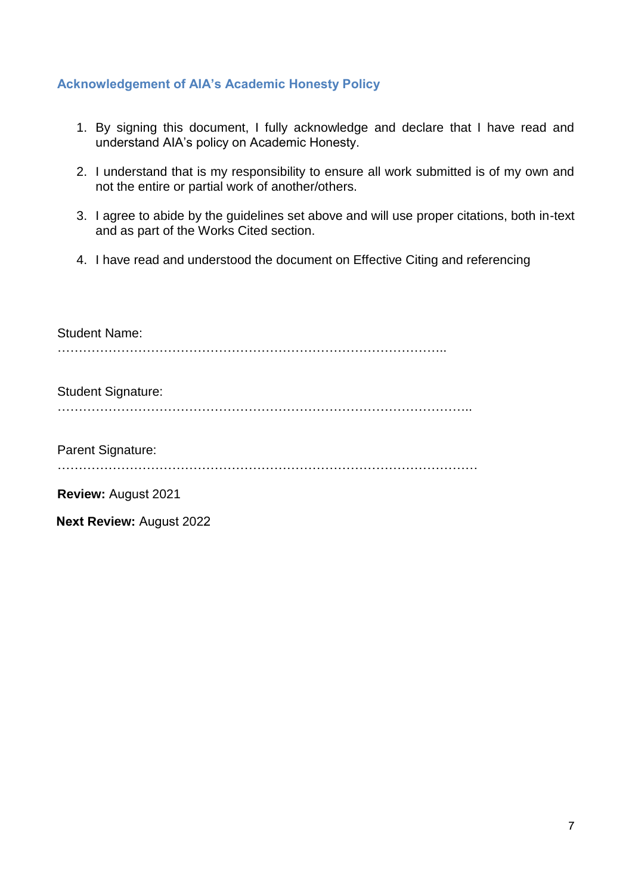### **Acknowledgement of AIA's Academic Honesty Policy**

- 1. By signing this document, I fully acknowledge and declare that I have read and understand AIA's policy on Academic Honesty.
- 2. I understand that is my responsibility to ensure all work submitted is of my own and not the entire or partial work of another/others.
- 3. I agree to abide by the guidelines set above and will use proper citations, both in-text and as part of the Works Cited section.
- 4. I have read and understood the document on Effective Citing and referencing

| <b>Student Name:</b>            |
|---------------------------------|
|                                 |
| <b>Student Signature:</b>       |
|                                 |
| Parent Signature:               |
| <b>Review: August 2021</b>      |
| <b>Next Review: August 2022</b> |